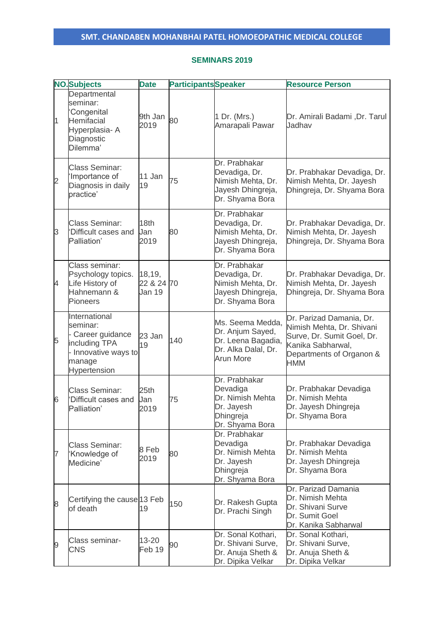#### **SEMINARS 2019**

|                | <b>NO.</b> Subjects                                                                                               | <b>Date</b>                    | <b>Participants</b> Speaker |                                                                                                       | <b>Resource Person</b>                                                                                                                             |
|----------------|-------------------------------------------------------------------------------------------------------------------|--------------------------------|-----------------------------|-------------------------------------------------------------------------------------------------------|----------------------------------------------------------------------------------------------------------------------------------------------------|
| $\overline{1}$ | Departmental<br>seminar:<br>Congenital<br>Hemifacial<br>Hyperplasia-A<br>Diagnostic<br>Dilemma'                   | 9th Jan<br>2019                | 80                          | 1 Dr. (Mrs.)<br>Amarapali Pawar                                                                       | Dr. Amirali Badami, Dr. Tarul<br>Jadhav                                                                                                            |
| $\overline{c}$ | <b>Class Seminar:</b><br>'Importance of<br>Diagnosis in daily<br>practice'                                        | 11 Jan<br>19                   | 75                          | Dr. Prabhakar<br>Devadiga, Dr.<br>Nimish Mehta, Dr.<br>Jayesh Dhingreja,<br>Dr. Shyama Bora           | Dr. Prabhakar Devadiga, Dr.<br>Nimish Mehta, Dr. Jayesh<br>Dhingreja, Dr. Shyama Bora                                                              |
| 3              | <b>Class Seminar:</b><br>'Difficult cases and<br>Palliation'                                                      | 18th<br>Jan<br>2019            | 80                          | Dr. Prabhakar<br>Devadiga, Dr.<br>Nimish Mehta, Dr.<br>Jayesh Dhingreja,<br>Dr. Shyama Bora           | Dr. Prabhakar Devadiga, Dr.<br>Nimish Mehta, Dr. Jayesh<br>Dhingreja, Dr. Shyama Bora                                                              |
| 4              | Class seminar:<br>Psychology topics.<br>Life History of<br>Hahnemann &<br><b>Pioneers</b>                         | 18,19,<br>22 & 24 70<br>Jan 19 |                             | Dr. Prabhakar<br>Devadiga, Dr.<br>Nimish Mehta, Dr.<br>Jayesh Dhingreja,<br>Dr. Shyama Bora           | Dr. Prabhakar Devadiga, Dr.<br>Nimish Mehta, Dr. Jayesh<br>Dhingreja, Dr. Shyama Bora                                                              |
| 5              | International<br>seminar:<br>- Career guidance<br>including TPA<br>- Innovative ways to<br>manage<br>Hypertension | 23 Jan<br>19                   | 140                         | Ms. Seema Medda,<br>Dr. Anjum Sayed,<br>Dr. Leena Bagadia,<br>Dr. Alka Dalal, Dr.<br><b>Arun More</b> | Dr. Parizad Damania, Dr.<br>Nimish Mehta, Dr. Shivani<br>Surve, Dr. Sumit Goel, Dr.<br>Kanika Sabharwal,<br>Departments of Organon &<br><b>HMM</b> |
| 6              | <b>Class Seminar:</b><br>'Difficult cases and<br>Palliation'                                                      | 25th<br>Jan<br>2019            | 75                          | Dr. Prabhakar<br>Devadiga<br>Dr. Nimish Mehta<br>Dr. Jayesh<br>Dhingreja<br>Dr. Shyama Bora           | Dr. Prabhakar Devadiga<br>Dr. Nimish Mehta<br>Dr. Jayesh Dhingreja<br>Dr. Shyama Bora                                                              |
| 7              | <b>Class Seminar:</b><br>'Knowledge of<br>Medicine'                                                               | 8 Feb<br>2019                  | 80                          | Dr. Prabhakar<br>Devadiga<br>Dr. Nimish Mehta<br>Dr. Jayesh<br>Dhingreja<br>Dr. Shyama Bora           | Dr. Prabhakar Devadiga<br>Dr. Nimish Mehta<br>Dr. Jayesh Dhingreja<br>Dr. Shyama Bora                                                              |
| 8              | Certifying the cause 13 Feb<br>of death                                                                           | 19                             | 150                         | Dr. Rakesh Gupta<br>Dr. Prachi Singh                                                                  | Dr. Parizad Damania<br>Dr. Nimish Mehta<br>Dr. Shivani Surve<br>Dr. Sumit Goel<br>Dr. Kanika Sabharwal                                             |
| 9              | Class seminar-<br><b>CNS</b>                                                                                      | 13-20<br>Feb 19                | 90                          | Dr. Sonal Kothari,<br>Dr. Shivani Surve,<br>Dr. Anuja Sheth &<br>Dr. Dipika Velkar                    | Dr. Sonal Kothari,<br>Dr. Shivani Surve,<br>Dr. Anuja Sheth &<br>Dr. Dipika Velkar                                                                 |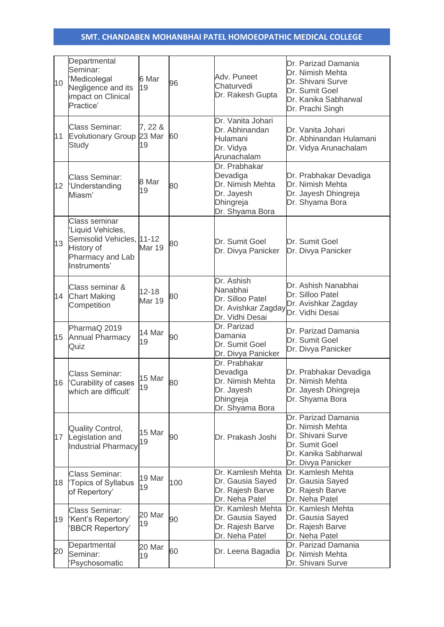| 10              | Departmental<br>Seminar:<br>'Medicolegal<br>Negligence and its<br>impact on Clinical<br>Practice'                 | 6 Mar<br>19                | 96  | Adv. Puneet<br>Chaturvedi<br>Dr. Rakesh Gupta                                                        | Dr. Parizad Damania<br>Dr. Nimish Mehta<br>Dr. Shivani Surve<br>Dr. Sumit Goel<br>Dr. Kanika Sabharwal<br>Dr. Prachi Singh   |
|-----------------|-------------------------------------------------------------------------------------------------------------------|----------------------------|-----|------------------------------------------------------------------------------------------------------|------------------------------------------------------------------------------------------------------------------------------|
| 11              | <b>Class Seminar:</b><br>Evolutionary Group 23 Mar<br><b>Study</b>                                                | 7, 22 &<br>19              | 60  | Dr. Vanita Johari<br>Dr. Abhinandan<br>Hulamani<br>Dr. Vidya<br>Arunachalam                          | Dr. Vanita Johari<br>Dr. Abhinandan Hulamani<br>Dr. Vidya Arunachalam                                                        |
| 12 <sup>°</sup> | <b>Class Seminar:</b><br><b>Understanding</b><br>Miasm'                                                           | 8 Mar<br>19                | 80  | Dr. Prabhakar<br>Devadiga<br>Dr. Nimish Mehta<br>Dr. Jayesh<br>Dhingreja<br>Dr. Shyama Bora          | Dr. Prabhakar Devadiga<br>Dr. Nimish Mehta<br>Dr. Jayesh Dhingreja<br>Dr. Shyama Bora                                        |
| 13              | Class seminar<br>'Liquid Vehicles,<br>Semisolid Vehicles, 11-12<br>History of<br>Pharmacy and Lab<br>Instruments' | <b>Mar 19</b>              | 80  | Dr. Sumit Goel<br>Dr. Divya Panicker                                                                 | Dr. Sumit Goel<br>Dr. Divya Panicker                                                                                         |
|                 | Class seminar &<br>14 Chart Making<br>Competition                                                                 | $12 - 18$<br><b>Mar 19</b> | 80  | Dr. Ashish<br>Nanabhai<br>Dr. Silloo Patel<br>Dr. Avishkar Zagday Dr. Vidhi Desai<br>Dr. Vidhi Desai | Dr. Ashish Nanabhai<br>Dr. Silloo Patel<br>Dr. Avishkar Zagday                                                               |
| 15              | PharmaQ 2019<br><b>Annual Pharmacy</b><br>Quiz                                                                    | 14 Mar<br>19               | 90  | Dr. Parizad<br>Damania<br>Dr. Sumit Goel<br>Dr. Divya Panicker                                       | Dr. Parizad Damania<br>Dr. Sumit Goel<br>Dr. Divya Panicker                                                                  |
| 16              | <b>Class Seminar:</b><br>'Curability of cases<br>which are difficult'                                             | 15 Mar<br>19               | 80  | Dr. Prabhakar<br>Devadiga<br>Dr. Nimish Mehta<br>Dr. Jayesh<br>Dhingreja<br>Dr. Shyama Bora          | Dr. Prabhakar Devadiga<br>Dr. Nimish Mehta<br>Dr. Jayesh Dhingreja<br>Dr. Shyama Bora                                        |
| 17              | <b>Quality Control,</b><br>Legislation and<br><b>Industrial Pharmacy</b>                                          | 15 Mar<br>19               | 90  | Dr. Prakash Joshi                                                                                    | Dr. Parizad Damania<br>Dr. Nimish Mehta<br>Dr. Shivani Surve<br>Dr. Sumit Goel<br>Dr. Kanika Sabharwal<br>Dr. Divya Panicker |
| 18              | <b>Class Seminar:</b><br>'Topics of Syllabus<br>of Repertory'                                                     | 19 Mar<br>19               | 100 | Dr. Kamlesh Mehta<br>Dr. Gausia Sayed<br>Dr. Rajesh Barve<br>Dr. Neha Patel                          | Dr. Kamlesh Mehta<br>Dr. Gausia Sayed<br>Dr. Rajesh Barve<br>Dr. Neha Patel                                                  |
| 19              | <b>Class Seminar:</b><br>'Kent's Repertory'<br><b>BBCR Repertory'</b>                                             | 20 Mar<br>19               | 90  | Dr. Kamlesh Mehta<br>Dr. Gausia Sayed<br>Dr. Rajesh Barve<br>Dr. Neha Patel                          | Dr. Kamlesh Mehta<br>Dr. Gausia Sayed<br>Dr. Rajesh Barve<br>Dr. Neha Patel                                                  |
| 20              | Departmental<br>Seminar:<br>Psychosomatic                                                                         | 20 Mar<br>19               | 60  | Dr. Leena Bagadia                                                                                    | Dr. Parizad Damania<br>Dr. Nimish Mehta<br>Dr. Shivani Surve                                                                 |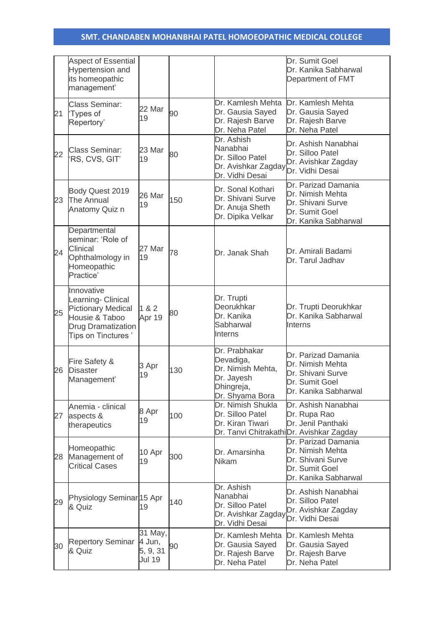|    | <b>Aspect of Essential</b><br>Hypertension and<br>its homeopathic<br>management'                                                   |                                                |     |                                                                                                             | Dr. Sumit Goel<br>Dr. Kanika Sabharwal<br>Department of FMT                                            |
|----|------------------------------------------------------------------------------------------------------------------------------------|------------------------------------------------|-----|-------------------------------------------------------------------------------------------------------------|--------------------------------------------------------------------------------------------------------|
| 21 | <b>Class Seminar:</b><br>'Types of<br>Repertory'                                                                                   | 22 Mar<br>19                                   | 90  | Dr. Kamlesh Mehta<br>Dr. Gausia Sayed<br>Dr. Rajesh Barve<br>Dr. Neha Patel                                 | Dr. Kamlesh Mehta<br>Dr. Gausia Sayed<br>Dr. Rajesh Barve<br>Dr. Neha Patel                            |
| 22 | <b>Class Seminar:</b><br>'RS, CVS, GIT'                                                                                            | 23 Mar<br>19                                   | 80  | Dr. Ashish<br>Nanabhai<br>Dr. Silloo Patel<br>Dr. Avishkar Zagday <b>Dr. Vidhi Desai</b><br>Dr. Vidhi Desai | Dr. Ashish Nanabhai<br>Dr. Silloo Patel<br>Dr. Avishkar Zagday                                         |
| 23 | Body Quest 2019<br>The Annual<br>Anatomy Quiz n                                                                                    | 26 Mar<br>19                                   | 150 | Dr. Sonal Kothari<br>Dr. Shivani Surve<br>Dr. Anuja Sheth<br>Dr. Dipika Velkar                              | Dr. Parizad Damania<br>Dr. Nimish Mehta<br>Dr. Shivani Surve<br>Dr. Sumit Goel<br>Dr. Kanika Sabharwal |
| 24 | Departmental<br>seminar: 'Role of<br>Clinical<br>Ophthalmology in<br>Homeopathic<br>Practice'                                      | 27 Mar<br>19                                   | 78  | Dr. Janak Shah                                                                                              | Dr. Amirali Badami<br>Dr. Tarul Jadhav                                                                 |
| 25 | Innovative<br>Learning- Clinical<br><b>Pictionary Medical</b><br>Housie & Taboo<br><b>Drug Dramatization</b><br>Tips on Tinctures' | 1 & 2<br>Apr 19                                | 80  | Dr. Trupti<br>Deorukhkar<br>Dr. Kanika<br>Sabharwal<br>Interns                                              | Dr. Trupti Deorukhkar<br>Dr. Kanika Sabharwal<br>Interns                                               |
| 26 | Fire Safety &<br><b>Disaster</b><br>Management'                                                                                    | 3 Apr<br>19                                    | 130 | Dr. Prabhakar<br>Devadiga,<br>Dr. Nimish Mehta,<br>Dr. Jayesh<br>Dhingreja,<br>Dr. Shyama Bora              | Dr. Parizad Damania<br>Dr. Nimish Mehta<br>Dr. Shivani Surve<br>Dr. Sumit Goel<br>Dr. Kanika Sabharwal |
| 27 | Anemia - clinical<br>aspects &<br>therapeutics                                                                                     | 8 Apr<br>19                                    | 100 | Dr. Nimish Shukla<br>Dr. Silloo Patel<br>Dr. Kiran Tiwari                                                   | Dr. Ashish Nanabhai<br>Dr. Rupa Rao<br>Dr. Jenil Panthaki<br>Dr. Tanvi ChitrakathiDr. Avishkar Zagday  |
| 28 | Homeopathic<br>Management of<br><b>Critical Cases</b>                                                                              | 10 Apr<br>19                                   | 300 | Dr. Amarsinha<br><b>Nikam</b>                                                                               | Dr. Parizad Damania<br>Dr. Nimish Mehta<br>Dr. Shivani Surve<br>Dr. Sumit Goel<br>Dr. Kanika Sabharwal |
| 29 | Physiology Seminar 15 Apr<br>& Quiz                                                                                                | 19                                             | 140 | Dr. Ashish<br>Nanabhai<br>Dr. Silloo Patel<br>Dr. Avishkar Zagday <b>Dr. Vidhi Desai</b><br>Dr. Vidhi Desai | Dr. Ashish Nanabhai<br>Dr. Silloo Patel<br>Dr. Avishkar Zagday                                         |
| 30 | <b>Repertory Seminar</b><br>& Quiz                                                                                                 | 31 May,<br>4 Jun,<br>5, 9, 31<br><b>Jul 19</b> | 90  | Dr. Kamlesh Mehta<br>Dr. Gausia Sayed<br>Dr. Rajesh Barve<br>Dr. Neha Patel                                 | Dr. Kamlesh Mehta<br>Dr. Gausia Sayed<br>Dr. Rajesh Barve<br>Dr. Neha Patel                            |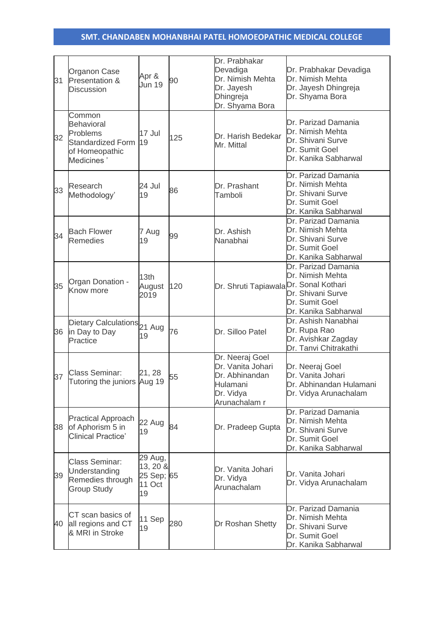| 31 | Organon Case<br>Presentation &<br><b>Discussion</b>                                                 | Apr &<br>Jun 19                                   | 90  | Dr. Prabhakar<br>Devadiga<br>Dr. Nimish Mehta<br>Dr. Jayesh<br>Dhingreja<br>Dr. Shyama Bora      | Dr. Prabhakar Devadiga<br>Dr. Nimish Mehta<br>Dr. Jayesh Dhingreja<br>Dr. Shyama Bora                  |
|----|-----------------------------------------------------------------------------------------------------|---------------------------------------------------|-----|--------------------------------------------------------------------------------------------------|--------------------------------------------------------------------------------------------------------|
| 32 | Common<br><b>Behavioral</b><br>Problems<br><b>Standardized Form</b><br>of Homeopathic<br>Medicines' | 17 Jul<br>19                                      | 125 | Dr. Harish Bedekar<br>Mr. Mittal                                                                 | Dr. Parizad Damania<br>Dr. Nimish Mehta<br>Dr. Shivani Surve<br>Dr. Sumit Goel<br>Dr. Kanika Sabharwal |
| 33 | Research<br>Methodology'                                                                            | 24 Jul<br>19                                      | 86  | Dr. Prashant<br>Tamboli                                                                          | Dr. Parizad Damania<br>Dr. Nimish Mehta<br>Dr. Shivani Surve<br>Dr. Sumit Goel<br>Dr. Kanika Sabharwal |
| 34 | <b>Bach Flower</b><br><b>Remedies</b>                                                               | 7 Aug<br>19                                       | 99  | Dr. Ashish<br>Nanabhai                                                                           | Dr. Parizad Damania<br>Dr. Nimish Mehta<br>Dr. Shivani Surve<br>Dr. Sumit Goel<br>Dr. Kanika Sabharwal |
| 35 | Organ Donation -<br>Know more                                                                       | 13th<br>August<br>2019                            | 120 | Dr. Shruti Tapiawala <sup>Dr.</sup> Sonal Kothari                                                | Dr. Parizad Damania<br>Dr. Nimish Mehta<br>Dr. Shivani Surve<br>Dr. Sumit Goel<br>Dr. Kanika Sabharwal |
| 36 | Dietary Calculations 21 Aug<br>in Day to Day<br>Practice                                            | 19                                                | 76  | Dr. Silloo Patel                                                                                 | Dr. Ashish Nanabhai<br>Dr. Rupa Rao<br>Dr. Avishkar Zagday<br>Dr. Tanvi Chitrakathi                    |
| 37 | <b>Class Seminar:</b><br>Tutoring the juniors                                                       | 21, 28<br>Aug 19                                  | 55  | Dr. Neeraj Goel<br>Dr. Vanita Johari<br>Dr. Abhinandan<br>Hulamani<br>Dr. Vidya<br>Arunachalam r | Dr. Neeraj Goel<br>Dr. Vanita Johari<br>Dr. Abhinandan Hulamani<br>Dr. Vidya Arunachalam               |
| 38 | <b>Practical Approach</b><br>of Aphorism 5 in<br><b>Clinical Practice'</b>                          | 22 Aug<br>19                                      | 84  | Dr. Pradeep Gupta                                                                                | Dr. Parizad Damania<br>Dr. Nimish Mehta<br>Dr. Shivani Surve<br>Dr. Sumit Goel<br>Dr. Kanika Sabharwal |
| 39 | <b>Class Seminar:</b><br>Understanding<br>Remedies through<br><b>Group Study</b>                    | 29 Aug,<br>13, 20 &<br>25 Sep; 65<br>11 Oct<br>19 |     | Dr. Vanita Johari<br>Dr. Vidya<br>Arunachalam                                                    | Dr. Vanita Johari<br>Dr. Vidya Arunachalam                                                             |
| 40 | CT scan basics of<br>all regions and CT<br>& MRI in Stroke                                          | 11 Sep<br>19                                      | 280 | Dr Roshan Shetty                                                                                 | Dr. Parizad Damania<br>Dr. Nimish Mehta<br>Dr. Shivani Surve<br>Dr. Sumit Goel<br>Dr. Kanika Sabharwal |